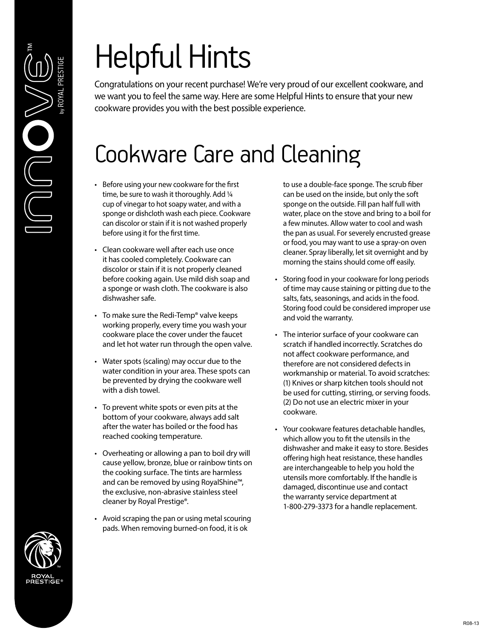# Helpful Hints

Congratulations on your recent purchase! We're very proud of our excellent cookware, and we want you to feel the same way. Here are some Helpful Hints to ensure that your new cookware provides you with the best possible experience.

# Cookware Care and Cleaning

- Before using your new cookware for the first time, be sure to wash it thoroughly. Add ¼ cup of vinegar to hot soapy water, and with a sponge or dishcloth wash each piece. Cookware can discolor or stain if it is not washed properly before using it for the first time.
- Clean cookware well after each use once it has cooled completely. Cookware can discolor or stain if it is not properly cleaned before cooking again. Use mild dish soap and a sponge or wash cloth. The cookware is also dishwasher safe.
- To make sure the Redi-Temp® valve keeps working properly, every time you wash your cookware place the cover under the faucet and let hot water run through the open valve.
- Water spots (scaling) may occur due to the water condition in your area. These spots can be prevented by drying the cookware well with a dish towel.
- To prevent white spots or even pits at the bottom of your cookware, always add salt after the water has boiled or the food has reached cooking temperature.
- Overheating or allowing a pan to boil dry will cause yellow, bronze, blue or rainbow tints on the cooking surface. The tints are harmless and can be removed by using RoyalShine™, the exclusive, non-abrasive stainless steel cleaner by Royal Prestige®.
- Avoid scraping the pan or using metal scouring pads. When removing burned-on food, it is ok

to use a double-face sponge. The scrub fiber can be used on the inside, but only the soft sponge on the outside. Fill pan half full with water, place on the stove and bring to a boil for a few minutes. Allow water to cool and wash the pan as usual. For severely encrusted grease or food, you may want to use a spray-on oven cleaner. Spray liberally, let sit overnight and by morning the stains should come off easily.

- Storing food in your cookware for long periods of time may cause staining or pitting due to the salts, fats, seasonings, and acids in the food. Storing food could be considered improper use and void the warranty.
- The interior surface of your cookware can scratch if handled incorrectly. Scratches do not affect cookware performance, and therefore are not considered defects in workmanship or material. To avoid scratches: (1) Knives or sharp kitchen tools should not be used for cutting, stirring, or serving foods. (2) Do not use an electric mixer in your cookware.
- Your cookware features detachable handles, which allow you to fit the utensils in the dishwasher and make it easy to store. Besides offering high heat resistance, these handles are interchangeable to help you hold the utensils more comfortably. If the handle is damaged, discontinue use and contact the warranty service department at 1-800-279-3373 for a handle replacement.

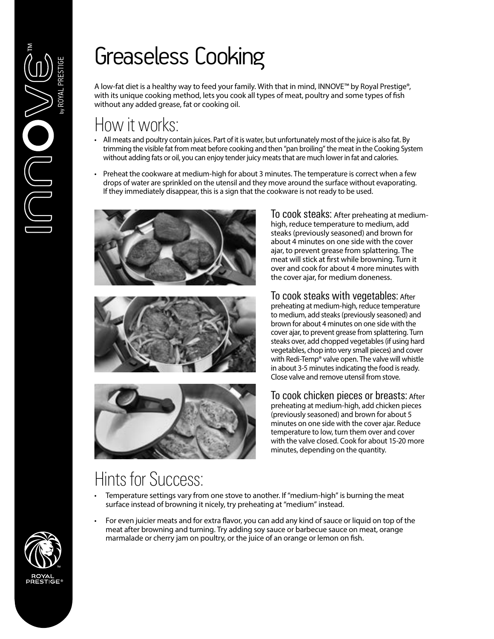## Greaseless Cooking

A low-fat diet is a healthy way to feed your family. With that in mind, INNOVE™ by Royal Prestige®, with its unique cooking method, lets you cook all types of meat, poultry and some types of fish without any added grease, fat or cooking oil.

#### How it works:

- All meats and poultry contain juices. Part of it is water, but unfortunately most of the juice is also fat. By trimming the visible fat from meat before cooking and then "pan broiling" the meat in the Cooking System without adding fats or oil, you can enjoy tender juicy meats that are much lower in fat and calories.
- Preheat the cookware at medium-high for about 3 minutes. The temperature is correct when a few drops of water are sprinkled on the utensil and they move around the surface without evaporating. If they immediately disappear, this is a sign that the cookware is not ready to be used.







To cook steaks: After preheating at mediumhigh, reduce temperature to medium, add steaks (previously seasoned) and brown for about 4 minutes on one side with the cover ajar, to prevent grease from splattering. The meat will stick at first while browning. Turn it over and cook for about 4 more minutes with the cover ajar, for medium doneness.

To cook steaks with vegetables: After preheating at medium-high, reduce temperature to medium, add steaks (previously seasoned) and brown for about 4 minutes on one side with the cover ajar, to prevent grease from splattering. Turn steaks over, add chopped vegetables (if using hard vegetables, chop into very small pieces) and cover with Redi-Temp® valve open. The valve will whistle in about 3-5 minutes indicating the food is ready. Close valve and remove utensil from stove.

To cook chicken pieces or breasts: After preheating at medium-high, add chicken pieces (previously seasoned) and brown for about 5 minutes on one side with the cover ajar. Reduce temperature to low, turn them over and cover with the valve closed. Cook for about 15-20 more minutes, depending on the quantity.

## Hints for Success:

- Temperature settings vary from one stove to another. If "medium-high" is burning the meat surface instead of browning it nicely, try preheating at "medium" instead.
- For even juicier meats and for extra flavor, you can add any kind of sauce or liquid on top of the meat after browning and turning. Try adding soy sauce or barbecue sauce on meat, orange marmalade or cherry jam on poultry, or the juice of an orange or lemon on fish.